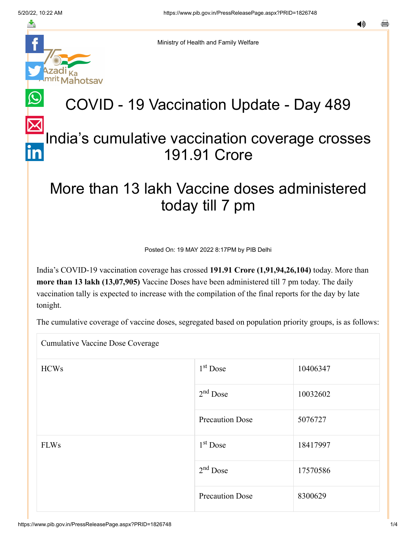≛

notsav

Ministry of Health and Family Welfare

# COVID - 19 Vaccination Update - Day 489

## [In](https://www.linkedin.com/shareArticle?mini=true&url=https://pib.gov.in/PressReleasePage.aspx?PRID=1826748&title=COVID%20-%2019%20Vaccination%20Update%20-%20Day%20489&summary=My%20favorite%20developer%20program&source=LinkedIn)dia's cumulative vaccination coverage crosses 191.91 Crore

### More than 13 lakh Vaccine doses administered today till 7 pm

Posted On: 19 MAY 2022 8:17PM by PIB Delhi

India's COVID-19 vaccination coverage has crossed **191.91 Crore (1,91,94,26,104)** today. More than **more than 13 lakh (13,07,905)** Vaccine Doses have been administered till 7 pm today. The daily vaccination tally is expected to increase with the compilation of the final reports for the day by late tonight.

The cumulative coverage of vaccine doses, segregated based on population priority groups, is as follows:

Cumulative Vaccine Dose Coverage

| <b>HCWs</b> | $1st$ Dose             | 10406347 |
|-------------|------------------------|----------|
|             | $2nd$ Dose             | 10032602 |
|             | <b>Precaution Dose</b> | 5076727  |
| <b>FLWs</b> | $1st$ Dose             | 18417997 |
|             | $2nd$ Dose             | 17570586 |
|             | <b>Precaution Dose</b> | 8300629  |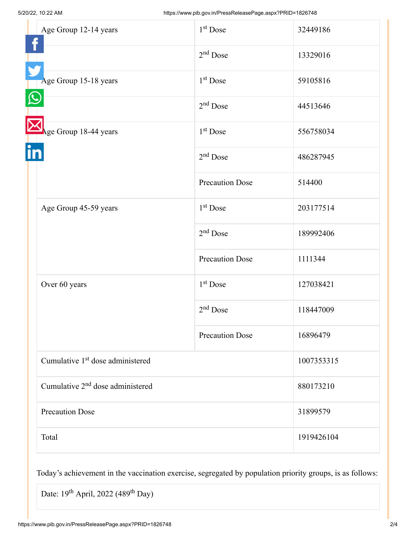| Age Group 12-14 years                        | 1 <sup>st</sup> Dose   | 32449186   |
|----------------------------------------------|------------------------|------------|
|                                              | $2nd$ Dose             | 13329016   |
| Age Group 15-18 years                        | 1 <sup>st</sup> Dose   | 59105816   |
|                                              | 2 <sup>nd</sup> Dose   | 44513646   |
| Age Group 18-44 years                        | 1 <sup>st</sup> Dose   | 556758034  |
|                                              | $2nd$ Dose             | 486287945  |
|                                              | <b>Precaution Dose</b> | 514400     |
| Age Group 45-59 years                        | 1 <sup>st</sup> Dose   | 203177514  |
|                                              | $2nd$ Dose             | 189992406  |
|                                              | <b>Precaution Dose</b> | 1111344    |
| Over 60 years                                | 1 <sup>st</sup> Dose   | 127038421  |
|                                              | $2nd$ Dose             | 118447009  |
|                                              | <b>Precaution Dose</b> | 16896479   |
| Cumulative 1 <sup>st</sup> dose administered |                        | 1007353315 |
| Cumulative 2 <sup>nd</sup> dose administered |                        | 880173210  |
| <b>Precaution Dose</b>                       |                        | 31899579   |
| Total                                        |                        | 1919426104 |

Today's achievement in the vaccination exercise, segregated by population priority groups, is as follows:

Date: 19<sup>th</sup> April, 2022 (489<sup>th</sup> Day)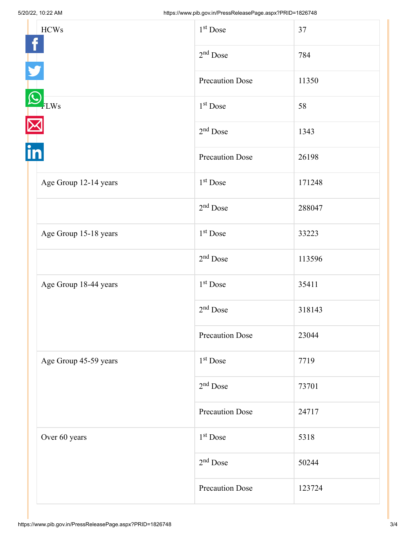| <b>HCWs</b> |                        | 1 <sup>st</sup> Dose   | 37     |
|-------------|------------------------|------------------------|--------|
|             | $2nd$ Dose             | 784                    |        |
|             | <b>Precaution Dose</b> | 11350                  |        |
| <b>LWs</b>  | 1 <sup>st</sup> Dose   | 58                     |        |
|             | $2nd$ Dose             | 1343                   |        |
|             |                        | <b>Precaution Dose</b> | 26198  |
|             | Age Group 12-14 years  | $1st$ Dose             | 171248 |
|             |                        | $2nd$ Dose             | 288047 |
|             | Age Group 15-18 years  | 1 <sup>st</sup> Dose   | 33223  |
|             |                        | $2nd$ Dose             | 113596 |
|             | Age Group 18-44 years  | 1 <sup>st</sup> Dose   | 35411  |
|             | $2nd$ Dose             | 318143                 |        |
|             | <b>Precaution Dose</b> | 23044                  |        |
|             | Age Group 45-59 years  | 1 <sup>st</sup> Dose   | 7719   |
|             | $2nd$ Dose             | 73701                  |        |
|             | <b>Precaution Dose</b> | 24717                  |        |
|             | Over 60 years          | 1 <sup>st</sup> Dose   | 5318   |
|             |                        | $2nd$ Dose             | 50244  |
|             |                        | <b>Precaution Dose</b> | 123724 |